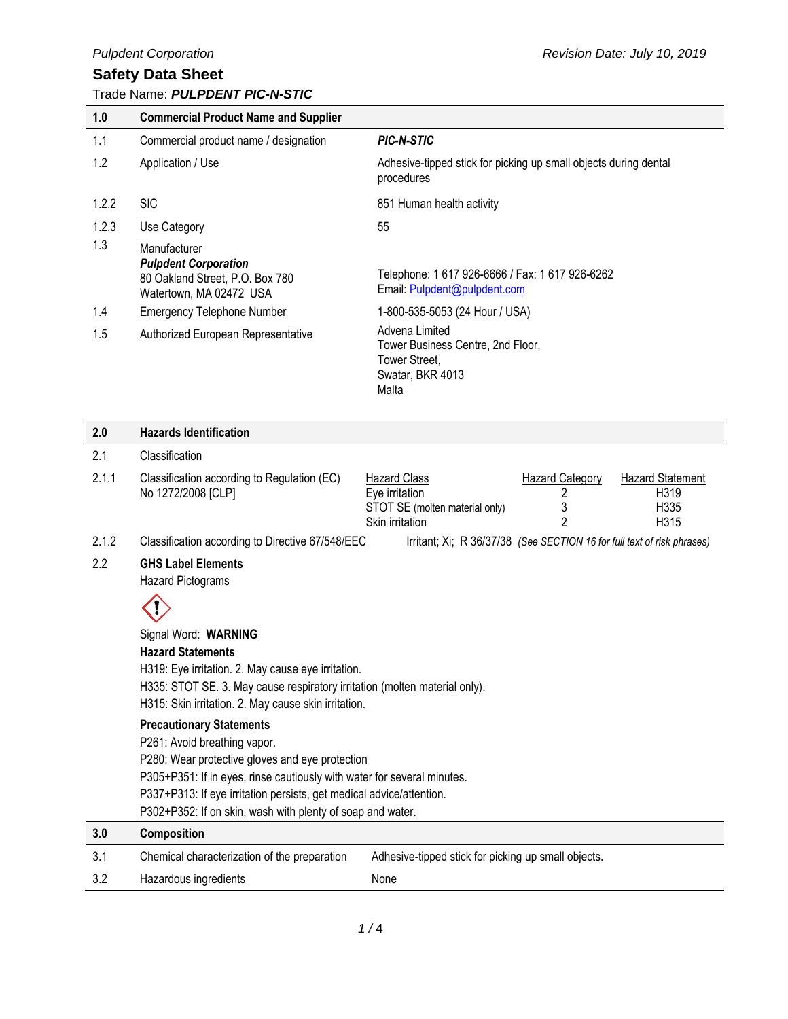# **Safety Data Sheet**

### Trade Name: *PULPDENT PIC-N-STIC*

| 1.0   | <b>Commercial Product Name and Supplier</b>                                                               |                                                                                                   |
|-------|-----------------------------------------------------------------------------------------------------------|---------------------------------------------------------------------------------------------------|
| 1.1   | Commercial product name / designation                                                                     | <b>PIC-N-STIC</b>                                                                                 |
| 1.2   | Application / Use                                                                                         | Adhesive-tipped stick for picking up small objects during dental<br>procedures                    |
| 1.2.2 | <b>SIC</b>                                                                                                | 851 Human health activity                                                                         |
| 1.2.3 | Use Category                                                                                              | 55                                                                                                |
| 1.3   | Manufacturer<br><b>Pulpdent Corporation</b><br>80 Oakland Street, P.O. Box 780<br>Watertown, MA 02472 USA | Telephone: 1 617 926-6666 / Fax: 1 617 926-6262<br>Email: Pulpdent@pulpdent.com                   |
| 1.4   | <b>Emergency Telephone Number</b>                                                                         | 1-800-535-5053 (24 Hour / USA)                                                                    |
| 1.5   | Authorized European Representative                                                                        | Advena Limited<br>Tower Business Centre, 2nd Floor,<br>Tower Street,<br>Swatar, BKR 4013<br>Malta |

#### 2.1 Classification 2.1.1 Classification according to Regulation (EC) No 1272/2008 [CLP] Hazard Class Hazard Category Hazard Statement Eye irritation STOT SE (molten material only) Skin irritation 2 3 2

- 
- 2.1.2 Classification according to Directive 67/548/EEC Irritant; Xi; R 36/37/38 *(See SECTION 16 for full text of risk phrases)*

H319 H335 H315

2.2 **GHS Label Elements**

**2.0 Hazards Identification**

Hazard Pictograms



Signal Word: **WARNING Hazard Statements** H319: Eye irritation. 2. May cause eye irritation. H335: STOT SE. 3. May cause respiratory irritation (molten material only). H315: Skin irritation. 2. May cause skin irritation. **Precautionary Statements** P261: Avoid breathing vapor. P280: Wear protective gloves and eye protection P305+P351: If in eyes, rinse cautiously with water for several minutes.

P337+P313: If eye irritation persists, get medical advice/attention.

P302+P352: If on skin, wash with plenty of soap and water.

| 3.0  | Composition                                  |                                                     |
|------|----------------------------------------------|-----------------------------------------------------|
| -3.1 | Chemical characterization of the preparation | Adhesive-tipped stick for picking up small objects. |
| 3.2  | Hazardous ingredients                        | None                                                |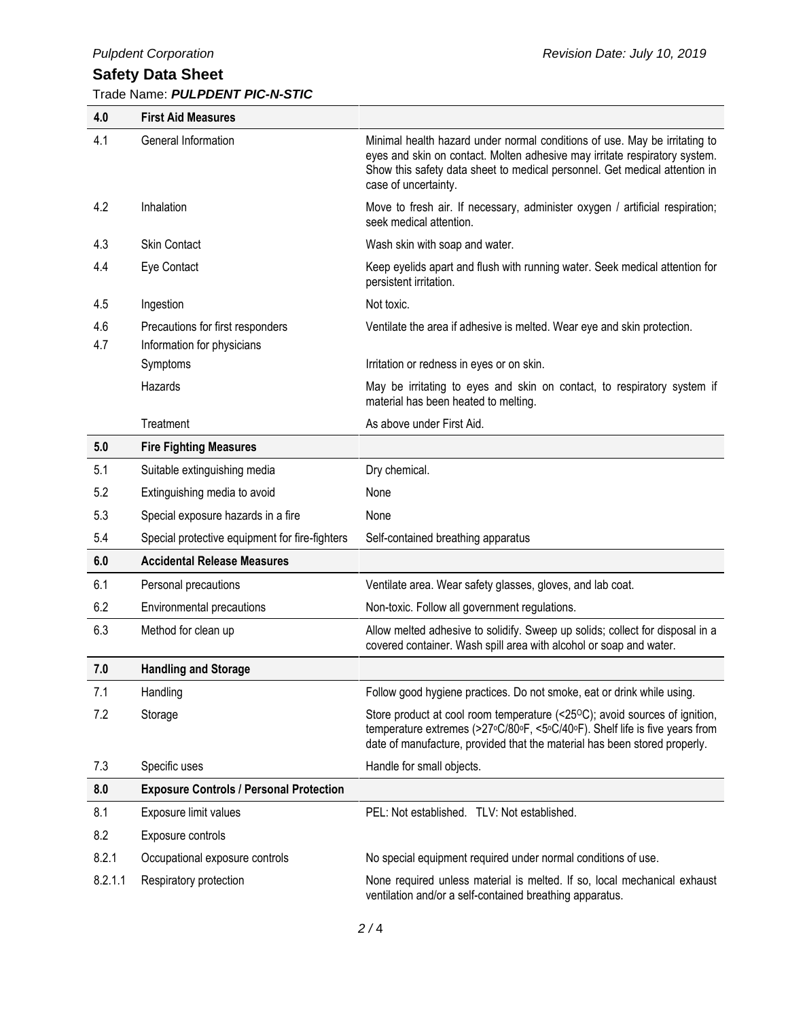# **Safety Data Sheet**

## Trade Name: *PULPDENT PIC-N-STIC*

| 4.0        | <b>First Aid Measures</b>                                      |                                                                                                                                                                                                                                                                |
|------------|----------------------------------------------------------------|----------------------------------------------------------------------------------------------------------------------------------------------------------------------------------------------------------------------------------------------------------------|
| 4.1        | General Information                                            | Minimal health hazard under normal conditions of use. May be irritating to<br>eyes and skin on contact. Molten adhesive may irritate respiratory system.<br>Show this safety data sheet to medical personnel. Get medical attention in<br>case of uncertainty. |
| 4.2        | Inhalation                                                     | Move to fresh air. If necessary, administer oxygen / artificial respiration;<br>seek medical attention.                                                                                                                                                        |
| 4.3        | <b>Skin Contact</b>                                            | Wash skin with soap and water.                                                                                                                                                                                                                                 |
| 4.4        | Eye Contact                                                    | Keep eyelids apart and flush with running water. Seek medical attention for<br>persistent irritation.                                                                                                                                                          |
| 4.5        | Ingestion                                                      | Not toxic.                                                                                                                                                                                                                                                     |
| 4.6<br>4.7 | Precautions for first responders<br>Information for physicians | Ventilate the area if adhesive is melted. Wear eye and skin protection.                                                                                                                                                                                        |
|            | Symptoms                                                       | Irritation or redness in eyes or on skin.                                                                                                                                                                                                                      |
|            | Hazards                                                        | May be irritating to eyes and skin on contact, to respiratory system if<br>material has been heated to melting.                                                                                                                                                |
|            | Treatment                                                      | As above under First Aid.                                                                                                                                                                                                                                      |
| 5.0        | <b>Fire Fighting Measures</b>                                  |                                                                                                                                                                                                                                                                |
| 5.1        | Suitable extinguishing media                                   | Dry chemical.                                                                                                                                                                                                                                                  |
| 5.2        | Extinguishing media to avoid                                   | None                                                                                                                                                                                                                                                           |
| 5.3        | Special exposure hazards in a fire                             | None                                                                                                                                                                                                                                                           |
| 5.4        | Special protective equipment for fire-fighters                 | Self-contained breathing apparatus                                                                                                                                                                                                                             |
| 6.0        | <b>Accidental Release Measures</b>                             |                                                                                                                                                                                                                                                                |
| 6.1        | Personal precautions                                           | Ventilate area. Wear safety glasses, gloves, and lab coat.                                                                                                                                                                                                     |
| 6.2        | Environmental precautions                                      | Non-toxic. Follow all government regulations.                                                                                                                                                                                                                  |
| 6.3        | Method for clean up                                            | Allow melted adhesive to solidify. Sweep up solids; collect for disposal in a<br>covered container. Wash spill area with alcohol or soap and water.                                                                                                            |
| 7.0        | <b>Handling and Storage</b>                                    |                                                                                                                                                                                                                                                                |
| 7.1        | Handling                                                       | Follow good hygiene practices. Do not smoke, eat or drink while using.                                                                                                                                                                                         |
| 7.2        | Storage                                                        | Store product at cool room temperature (<25°C); avoid sources of ignition,<br>temperature extremes (>27°C/80°F, <5°C/40°F). Shelf life is five years from<br>date of manufacture, provided that the material has been stored properly.                         |
| 7.3        | Specific uses                                                  | Handle for small objects.                                                                                                                                                                                                                                      |
| 8.0        | <b>Exposure Controls / Personal Protection</b>                 |                                                                                                                                                                                                                                                                |
| 8.1        | Exposure limit values                                          | PEL: Not established. TLV: Not established.                                                                                                                                                                                                                    |
| 8.2        | Exposure controls                                              |                                                                                                                                                                                                                                                                |
| 8.2.1      | Occupational exposure controls                                 | No special equipment required under normal conditions of use.                                                                                                                                                                                                  |
| 8.2.1.1    | Respiratory protection                                         | None required unless material is melted. If so, local mechanical exhaust<br>ventilation and/or a self-contained breathing apparatus.                                                                                                                           |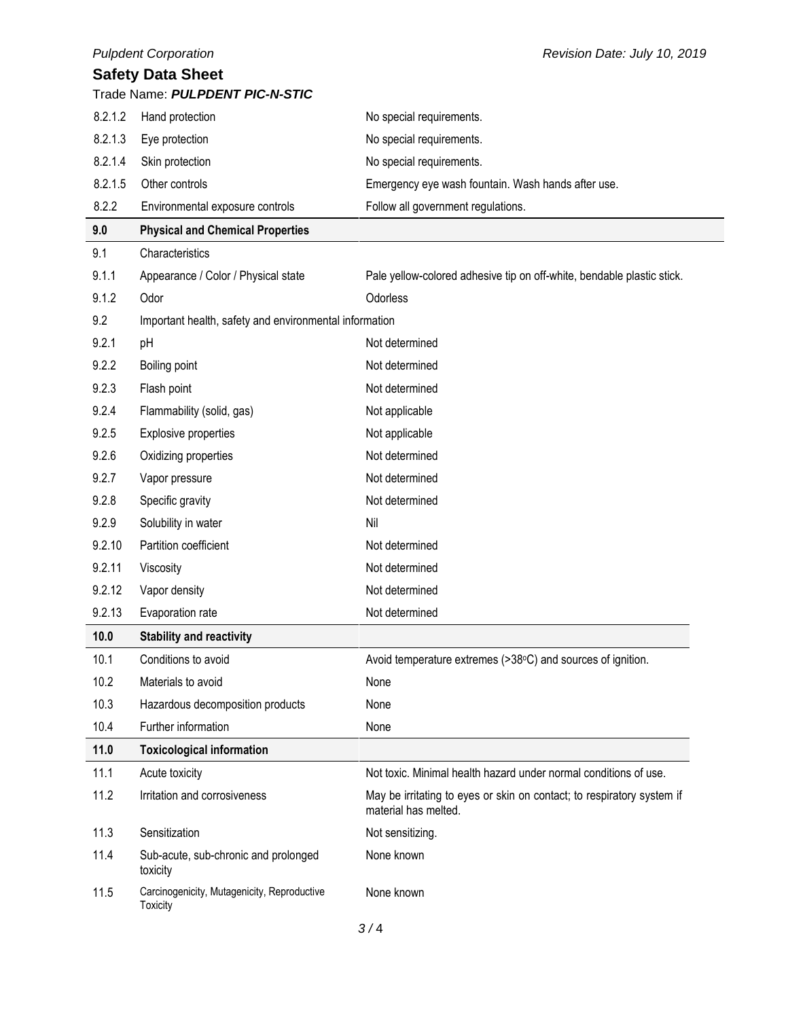|                          | <b>Pulpdent Corporation</b>                             | Revision Date: July 10, 2019                                                                   |  |
|--------------------------|---------------------------------------------------------|------------------------------------------------------------------------------------------------|--|
| <b>Safety Data Sheet</b> |                                                         |                                                                                                |  |
|                          | Trade Name: PULPDENT PIC-N-STIC                         |                                                                                                |  |
| 8.2.1.2                  | Hand protection                                         | No special requirements.                                                                       |  |
| 8.2.1.3                  | Eye protection                                          | No special requirements.                                                                       |  |
| 8.2.1.4                  | Skin protection                                         | No special requirements.                                                                       |  |
| 8.2.1.5                  | Other controls                                          | Emergency eye wash fountain. Wash hands after use.                                             |  |
| 8.2.2                    | Environmental exposure controls                         | Follow all government regulations.                                                             |  |
| 9.0                      | <b>Physical and Chemical Properties</b>                 |                                                                                                |  |
| 9.1                      | Characteristics                                         |                                                                                                |  |
| 9.1.1                    | Appearance / Color / Physical state                     | Pale yellow-colored adhesive tip on off-white, bendable plastic stick.                         |  |
| 9.1.2                    | Odor                                                    | Odorless                                                                                       |  |
| 9.2                      | Important health, safety and environmental information  |                                                                                                |  |
| 9.2.1                    | pH                                                      | Not determined                                                                                 |  |
| 9.2.2                    | Boiling point                                           | Not determined                                                                                 |  |
| 9.2.3                    | Flash point                                             | Not determined                                                                                 |  |
| 9.2.4                    | Flammability (solid, gas)                               | Not applicable                                                                                 |  |
| 9.2.5                    | Explosive properties                                    | Not applicable                                                                                 |  |
| 9.2.6                    | Oxidizing properties                                    | Not determined                                                                                 |  |
| 9.2.7                    | Vapor pressure                                          | Not determined                                                                                 |  |
| 9.2.8                    | Specific gravity                                        | Not determined                                                                                 |  |
| 9.2.9                    | Solubility in water                                     | Nil                                                                                            |  |
| 9.2.10                   | Partition coefficient                                   | Not determined                                                                                 |  |
| 9.2.11                   | Viscosity                                               | Not determined                                                                                 |  |
| 9.2.12                   | Vapor density                                           | Not determined                                                                                 |  |
| 9.2.13                   | Evaporation rate                                        | Not determined                                                                                 |  |
| 10.0                     | <b>Stability and reactivity</b>                         |                                                                                                |  |
| 10.1                     | Conditions to avoid                                     | Avoid temperature extremes (>38°C) and sources of ignition.                                    |  |
| 10.2                     | Materials to avoid                                      | None                                                                                           |  |
| 10.3                     | Hazardous decomposition products                        | None                                                                                           |  |
| 10.4                     | Further information                                     | None                                                                                           |  |
| 11.0                     | <b>Toxicological information</b>                        |                                                                                                |  |
| 11.1                     | Acute toxicity                                          | Not toxic. Minimal health hazard under normal conditions of use.                               |  |
| 11.2                     | Irritation and corrosiveness                            | May be irritating to eyes or skin on contact; to respiratory system if<br>material has melted. |  |
| 11.3                     | Sensitization                                           | Not sensitizing.                                                                               |  |
| 11.4                     | Sub-acute, sub-chronic and prolonged<br>toxicity        | None known                                                                                     |  |
| 11.5                     | Carcinogenicity, Mutagenicity, Reproductive<br>Toxicity | None known                                                                                     |  |
|                          |                                                         |                                                                                                |  |